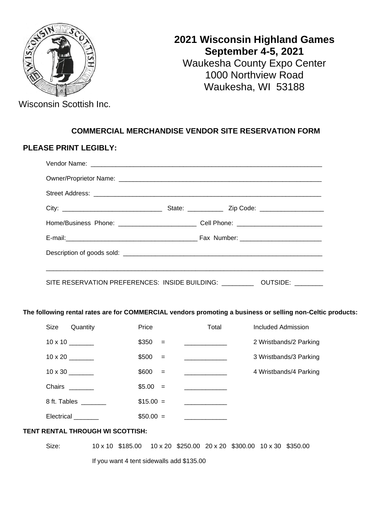

**2021 Wisconsin Highland Games September 4-5, 2021** Waukesha County Expo Center 1000 Northview Road Waukesha, WI 53188

Wisconsin Scottish Inc.

# **COMMERCIAL MERCHANDISE VENDOR SITE RESERVATION FORM**

## **PLEASE PRINT LEGIBLY:**

|                                                                              | Home/Business Phone: __________________________Cell Phone: _____________________ |  |  |
|------------------------------------------------------------------------------|----------------------------------------------------------------------------------|--|--|
|                                                                              |                                                                                  |  |  |
|                                                                              |                                                                                  |  |  |
|                                                                              |                                                                                  |  |  |
| SITE RESERVATION PREFERENCES: INSIDE BUILDING: ___________ OUTSIDE: ________ |                                                                                  |  |  |

## **The following rental rates are for COMMERCIAL vendors promoting a business or selling non-Celtic products:**

| Size               | Quantity | Price      |     |                                                                                                                        | Total | Included Admission     |
|--------------------|----------|------------|-----|------------------------------------------------------------------------------------------------------------------------|-------|------------------------|
|                    |          | \$350      | $=$ | the control of the control of the control of                                                                           |       | 2 Wristbands/2 Parking |
|                    |          | \$500      | $=$ | the control of the control of the control of                                                                           |       | 3 Wristbands/3 Parking |
|                    |          | \$600      | $=$ |                                                                                                                        |       | 4 Wristbands/4 Parking |
| Chairs ______      |          | $$5.00 =$  |     | <u> Liberal Maria de la Carlo de la Carlo de la Carlo de la Carlo de la Carlo de la Carlo de la Carlo de la Carlo </u> |       |                        |
| 8 ft. Tables       |          | $$15.00 =$ |     | the control of the control of the control of                                                                           |       |                        |
| Electrical _______ |          | $$50.00 =$ |     |                                                                                                                        |       |                        |

## **TENT RENTAL THROUGH WI SCOTTISH:**

Size: 10 x 10 \$185.00 10 x 20 \$250.00 20 x 20 \$300.00 10 x 30 \$350.00

If you want 4 tent sidewalls add \$135.00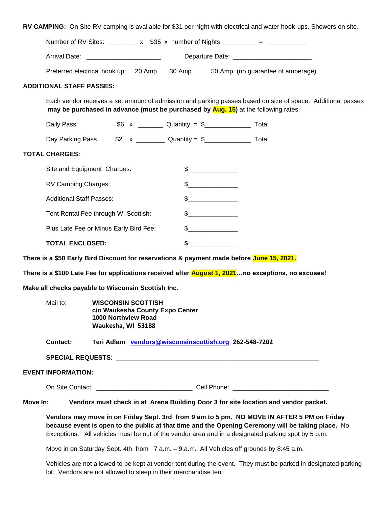**RV CAMPING:** On Site RV camping is available for \$31 per night with electrical and water hook-ups. Showers on site.

|                                                                                                                   | Number of RV Sites: $\frac{1}{2}$ x \$35 x number of Nights $\frac{1}{2}$ = $\frac{1}{2}$                                                                                                                |                                                |               |                                             |  |
|-------------------------------------------------------------------------------------------------------------------|----------------------------------------------------------------------------------------------------------------------------------------------------------------------------------------------------------|------------------------------------------------|---------------|---------------------------------------------|--|
|                                                                                                                   | Arrival Date: __________________________                                                                                                                                                                 |                                                |               | Departure Date: ___________________________ |  |
|                                                                                                                   | Preferred electrical hook up: 20 Amp 30 Amp 50 Amp (no guarantee of amperage)                                                                                                                            |                                                |               |                                             |  |
|                                                                                                                   | <b>ADDITIONAL STAFF PASSES:</b>                                                                                                                                                                          |                                                |               |                                             |  |
|                                                                                                                   | Each vendor receives a set amount of admission and parking passes based on size of space. Additional passes<br>may be purchased in advance (must be purchased by <b>Aug. 15)</b> at the following rates: |                                                |               |                                             |  |
|                                                                                                                   | Daily Pass:                                                                                                                                                                                              | \$6 x _________ Quantity = $\frac{1}{2}$ Total |               |                                             |  |
|                                                                                                                   |                                                                                                                                                                                                          |                                                |               |                                             |  |
|                                                                                                                   | <b>TOTAL CHARGES:</b>                                                                                                                                                                                    |                                                |               |                                             |  |
|                                                                                                                   | Site and Equipment Charges:                                                                                                                                                                              |                                                | $\sim$        |                                             |  |
|                                                                                                                   | RV Camping Charges:                                                                                                                                                                                      |                                                | $\sim$        |                                             |  |
|                                                                                                                   | <b>Additional Staff Passes:</b>                                                                                                                                                                          |                                                | $\mathfrak s$ |                                             |  |
|                                                                                                                   | Tent Rental Fee through WI Scottish:                                                                                                                                                                     |                                                | $\frac{1}{2}$ |                                             |  |
|                                                                                                                   | Plus Late Fee or Minus Early Bird Fee:                                                                                                                                                                   |                                                | $\frac{1}{2}$ |                                             |  |
|                                                                                                                   | <b>TOTAL ENCLOSED:</b>                                                                                                                                                                                   | \$                                             |               |                                             |  |
|                                                                                                                   | There is a \$50 Early Bird Discount for reservations & payment made before <mark>June 15, 2021.</mark>                                                                                                   |                                                |               |                                             |  |
| There is a \$100 Late Fee for applications received after <mark>August 1, 2021</mark> …no exceptions, no excuses! |                                                                                                                                                                                                          |                                                |               |                                             |  |
| Make all checks payable to Wisconsin Scottish Inc.                                                                |                                                                                                                                                                                                          |                                                |               |                                             |  |

| Mail to: | <b>WISCONSIN SCOTTISH</b>       |
|----------|---------------------------------|
|          | c/o Waukesha County Expo Center |
|          | 1000 Northview Road             |
|          | Waukesha, WI 53188              |

**Contact: Teri Adlam [vendors@wisconsinscottish.org](mailto:vendors@wisconsinscottish.org) 262-548-7202**

**SPECIAL REQUESTS:**  $\blacksquare$ 

#### **EVENT INFORMATION:**

On Site Contact: \_\_\_\_\_\_\_\_\_\_\_\_\_\_\_\_\_\_\_\_\_\_\_\_\_\_\_ Cell Phone: \_\_\_\_\_\_\_\_\_\_\_\_\_\_\_\_\_\_\_\_\_\_\_\_\_\_\_

**Move In: Vendors must check in at Arena Building Door 3 for site location and vendor packet.**

**Vendors may move in on Friday Sept. 3rd from 9 am to 5 pm. NO MOVE IN AFTER 5 PM on Friday because event is open to the public at that time and the Opening Ceremony will be taking place.** No Exceptions. All vehicles must be out of the vendor area and in a designated parking spot by 5 p.m.

Move in on Saturday Sept. 4th from 7 a.m. – 9.a.m. All Vehicles off grounds by 8:45 a.m.

Vehicles are not allowed to be kept at vendor tent during the event. They must be parked in designated parking lot. Vendors are not allowed to sleep in their merchandise tent.